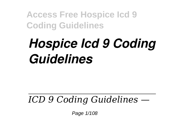## *Hospice Icd 9 Coding Guidelines*

## *ICD 9 Coding Guidelines —*

Page 1/108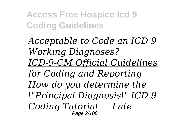*Acceptable to Code an ICD 9 Working Diagnoses? ICD-9-CM Official Guidelines for Coding and Reporting How do you determine the \"Principal Diagnosis\" ICD 9 Coding Tutorial — Late* Page 2/108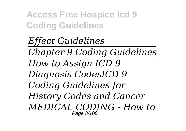*Effect Guidelines Chapter 9 Coding Guidelines How to Assign ICD 9 Diagnosis CodesICD 9 Coding Guidelines for History Codes and Cancer MEDICAL CODING - How to* Page 3/108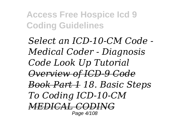*Select an ICD-10-CM Code - Medical Coder - Diagnosis Code Look Up Tutorial Overview of ICD-9 Code Book Part 1 18. Basic Steps To Coding ICD-10-CM MEDICAL CODING* Page 4/108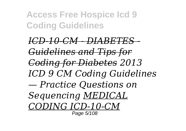*ICD-10-CM - DIABETES - Guidelines and Tips for Coding for Diabetes 2013 ICD 9 CM Coding Guidelines — Practice Questions on Sequencing MEDICAL CODING ICD-10-CM* Page 5/108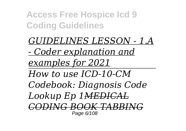*GUIDELINES LESSON - 1.A - Coder explanation and examples for 2021 How to use ICD-10-CM Codebook: Diagnosis Code Lookup Ep 1MEDICAL CODING BOOK TABBING* Page 6/108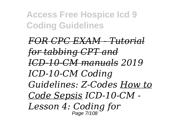*FOR CPC EXAM - Tutorial for tabbing CPT and ICD-10-CM manuals 2019 ICD-10-CM Coding Guidelines: Z-Codes How to Code Sepsis ICD-10-CM - Lesson 4: Coding for* Page 7/108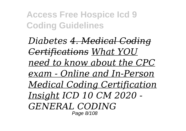*Diabetes 4. Medical Coding Certifications What YOU need to know about the CPC exam - Online and In-Person Medical Coding Certification Insight ICD 10 CM 2020 - GENERAL CODING* Page 8/108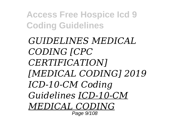*GUIDELINES MEDICAL CODING [CPC CERTIFICATION] [MEDICAL CODING] 2019 ICD-10-CM Coding Guidelines ICD-10-CM MEDICAL CODING* Page 9/108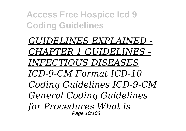*GUIDELINES EXPLAINED - CHAPTER 1 GUIDELINES - INFECTIOUS DISEASES ICD-9-CM Format ICD-10 Coding Guidelines ICD-9-CM General Coding Guidelines for Procedures What is* Page 10/108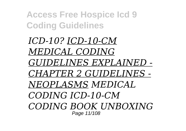*ICD-10? ICD-10-CM MEDICAL CODING GUIDELINES EXPLAINED - CHAPTER 2 GUIDELINES - NEOPLASMS MEDICAL CODING ICD-10-CM CODING BOOK UNBOXING* Page 11/108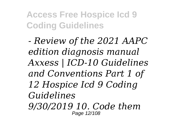*- Review of the 2021 AAPC edition diagnosis manual Axxess | ICD-10 Guidelines and Conventions Part 1 of 12 Hospice Icd 9 Coding Guidelines 9/30/2019 10. Code them* Page 12/108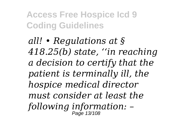*all! • Regulations at § 418.25(b) state, ''in reaching a decision to certify that the patient is terminally ill, the hospice medical director must consider at least the following information: –* Page 13/108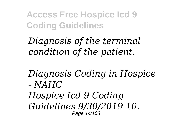*Diagnosis of the terminal condition of the patient.*

*Diagnosis Coding in Hospice - NAHC*

*Hospice Icd 9 Coding Guidelines 9/30/2019 10.* Page 14/108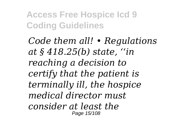*Code them all! • Regulations at § 418.25(b) state, ''in reaching a decision to certify that the patient is terminally ill, the hospice medical director must consider at least the* Page 15/108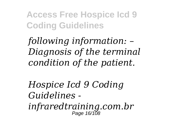*following information: – Diagnosis of the terminal condition of the patient.*

*Hospice Icd 9 Coding Guidelines infraredtraining.com.br* Page 16/108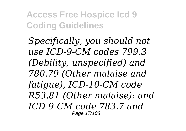*Specifically, you should not use ICD-9-CM codes 799.3 (Debility, unspecified) and 780.79 (Other malaise and fatigue), ICD-10-CM code R53.81 (Other malaise); and ICD-9-CM code 783.7 and* Page 17/108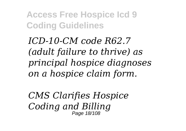*ICD-10-CM code R62.7 (adult failure to thrive) as principal hospice diagnoses on a hospice claim form.*

*CMS Clarifies Hospice Coding and Billing* Page 18/108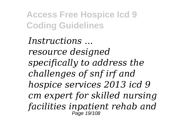*Instructions ... resource designed specifically to address the challenges of snf irf and hospice services 2013 icd 9 cm expert for skilled nursing facilities inpatient rehab and* Page 19/108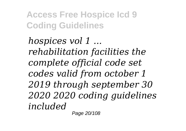*hospices vol 1 ... rehabilitation facilities the complete official code set codes valid from october 1 2019 through september 30 2020 2020 coding guidelines included*

Page 20/108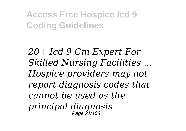*20+ Icd 9 Cm Expert For Skilled Nursing Facilities ... Hospice providers may not report diagnosis codes that cannot be used as the principal diagnosis* Page 21/108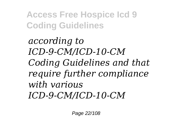*according to ICD-9-CM/ICD-10-CM Coding Guidelines and that require further compliance with various ICD-9-CM/ICD-10-CM*

Page 22/108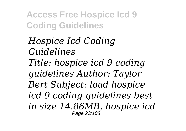*Hospice Icd Coding Guidelines Title: hospice icd 9 coding guidelines Author: Taylor Bert Subject: load hospice icd 9 coding guidelines best in size 14.86MB, hospice icd* Page 23/108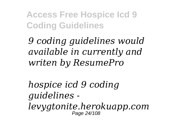*9 coding guidelines would available in currently and writen by ResumePro*

*hospice icd 9 coding guidelines levygtonite.herokuapp.com* Page 24/108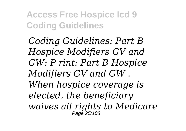*Coding Guidelines: Part B Hospice Modifiers GV and GW: P rint: Part B Hospice Modifiers GV and GW . When hospice coverage is elected, the beneficiary waives all rights to Medicare* Page 25/108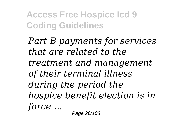*Part B payments for services that are related to the treatment and management of their terminal illness during the period the hospice benefit election is in force ...*

Page 26/108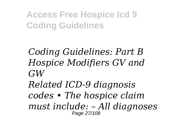*Coding Guidelines: Part B Hospice Modifiers GV and GW*

*Related ICD-9 diagnosis codes • The hospice claim must include: – All diagnoses* Page 27/108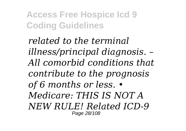*related to the terminal illness/principal diagnosis. – All comorbid conditions that contribute to the prognosis of 6 months or less. • Medicare: THIS IS NOT A NEW RULE! Related ICD-9* Page 28/108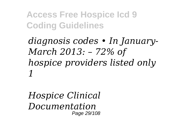*diagnosis codes • In January-March 2013: – 72% of hospice providers listed only 1*

*Hospice Clinical Documentation* Page 29/108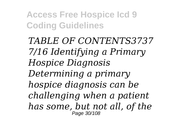*TABLE OF CONTENTS3737 7/16 Identifying a Primary Hospice Diagnosis Determining a primary hospice diagnosis can be challenging when a patient has some, but not all, of the* Page 30/108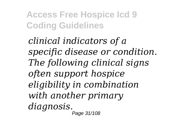*clinical indicators of a specific disease or condition. The following clinical signs often support hospice eligibility in combination with another primary diagnosis.* Page 31/108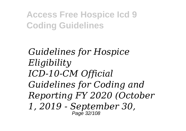*Guidelines for Hospice Eligibility ICD-10-CM Official Guidelines for Coding and Reporting FY 2020 (October 1, 2019 - September 30,* Page 32/108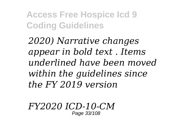*2020) Narrative changes appear in bold text . Items underlined have been moved within the guidelines since the FY 2019 version*

*FY2020 ICD-10-CM* Page 33/108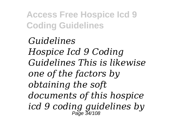*Guidelines Hospice Icd 9 Coding Guidelines This is likewise one of the factors by obtaining the soft documents of this hospice icd 9 coding guidelines by* Page 34/108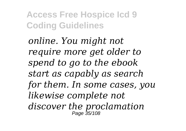*online. You might not require more get older to spend to go to the ebook start as capably as search for them. In some cases, you likewise complete not discover the proclamation* Page 35/108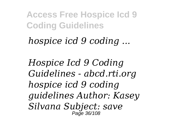*hospice icd 9 coding ...*

*Hospice Icd 9 Coding Guidelines - abcd.rti.org hospice icd 9 coding guidelines Author: Kasey Silvana Subject: save* Page 36/108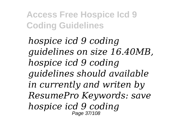*hospice icd 9 coding guidelines on size 16.40MB, hospice icd 9 coding guidelines should available in currently and writen by ResumePro Keywords: save hospice icd 9 coding* Page 37/108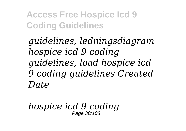*guidelines, ledningsdiagram hospice icd 9 coding guidelines, load hospice icd 9 coding guidelines Created Date*

*hospice icd 9 coding* Page 38/108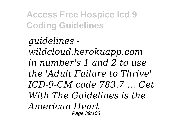*guidelines wildcloud.herokuapp.com in number's 1 and 2 to use the 'Adult Failure to Thrive' ICD-9-CM code 783.7 … Get With The Guidelines is the American Heart* Page 39/108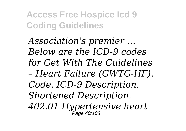*Association's premier … Below are the ICD-9 codes for Get With The Guidelines – Heart Failure (GWTG-HF). Code. ICD-9 Description. Shortened Description. 402.01 Hypertensive heart* Page 40/108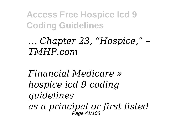## *… Chapter 23, "Hospice," – TMHP.com*

*Financial Medicare » hospice icd 9 coding guidelines as a principal or first listed* Page 41/108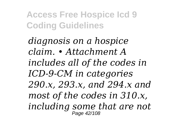*diagnosis on a hospice claim. • Attachment A includes all of the codes in ICD-9-CM in categories 290.x, 293.x, and 294.x and most of the codes in 310.x, including some that are not* Page 42/108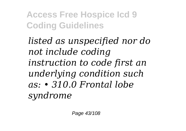*listed as unspecified nor do not include coding instruction to code first an underlying condition such as: • 310.0 Frontal lobe syndrome*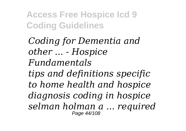*Coding for Dementia and other ... - Hospice Fundamentals tips and definitions specific to home health and hospice diagnosis coding in hospice selman holman a ... required* Page 44/108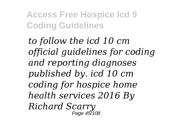*to follow the icd 10 cm official guidelines for coding and reporting diagnoses published by. icd 10 cm coding for hospice home health services 2016 By Richard Scarry* Page 45/108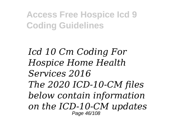*Icd 10 Cm Coding For Hospice Home Health Services 2016 The 2020 ICD-10-CM files below contain information on the ICD-10-CM updates* Page 46/108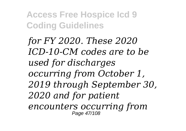*for FY 2020. These 2020 ICD-10-CM codes are to be used for discharges occurring from October 1, 2019 through September 30, 2020 and for patient encounters occurring from* Page 47/108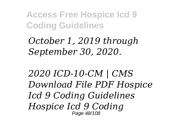*October 1, 2019 through September 30, 2020.*

*2020 ICD-10-CM | CMS Download File PDF Hospice Icd 9 Coding Guidelines Hospice Icd 9 Coding* Page 48/108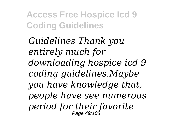*Guidelines Thank you entirely much for downloading hospice icd 9 coding guidelines.Maybe you have knowledge that, people have see numerous period for their favorite* Page 49/108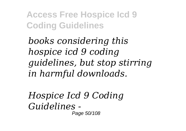*books considering this hospice icd 9 coding guidelines, but stop stirring in harmful downloads.*

*Hospice Icd 9 Coding Guidelines -* Page 50/108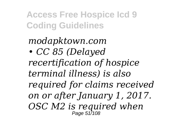*modapktown.com • CC 85 (Delayed recertification of hospice terminal illness) is also required for claims received on or after January 1, 2017. OSC M2 is required when* Page 517108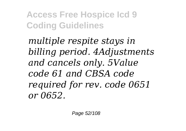*multiple respite stays in billing period. 4Adjustments and cancels only. 5Value code 61 and CBSA code required for rev. code 0651 or 0652.*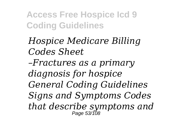*Hospice Medicare Billing Codes Sheet*

*–Fractures as a primary diagnosis for hospice General Coding Guidelines Signs and Symptoms Codes that describe symptoms and* Page 53/108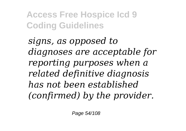*signs, as opposed to diagnoses are acceptable for reporting purposes when a related definitive diagnosis has not been established (confirmed) by the provider.*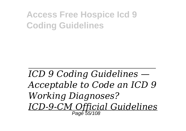# *ICD 9 Coding Guidelines — Acceptable to Code an ICD 9 Working Diagnoses? ICD-9-CM Official Guidelines* Page 55/108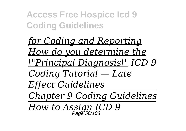*for Coding and Reporting How do you determine the \"Principal Diagnosis\" ICD 9 Coding Tutorial — Late Effect Guidelines Chapter 9 Coding Guidelines How to Assign ICD 9* Page 56/108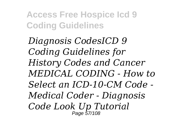*Diagnosis CodesICD 9 Coding Guidelines for History Codes and Cancer MEDICAL CODING - How to Select an ICD-10-CM Code - Medical Coder - Diagnosis Code Look Up Tutorial*  Page 57/108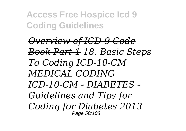*Overview of ICD-9 Code Book Part 1 18. Basic Steps To Coding ICD-10-CM MEDICAL CODING ICD-10-CM - DIABETES - Guidelines and Tips for Coding for Diabetes 2013* Page 58/108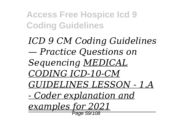*ICD 9 CM Coding Guidelines — Practice Questions on Sequencing MEDICAL CODING ICD-10-CM GUIDELINES LESSON - 1.A - Coder explanation and examples for 2021* Page 59/108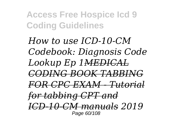*How to use ICD-10-CM Codebook: Diagnosis Code Lookup Ep 1MEDICAL CODING BOOK TABBING FOR CPC EXAM - Tutorial for tabbing CPT and ICD-10-CM manuals 2019* Page 60/108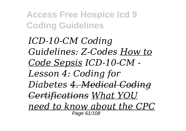*ICD-10-CM Coding Guidelines: Z-Codes How to Code Sepsis ICD-10-CM - Lesson 4: Coding for Diabetes 4. Medical Coding Certifications What YOU need to know about the CPC* Page 61/108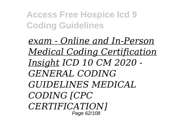*exam - Online and In-Person Medical Coding Certification Insight ICD 10 CM 2020 - GENERAL CODING GUIDELINES MEDICAL CODING [CPC CERTIFICATION]* Page 62/108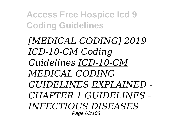*[MEDICAL CODING] 2019 ICD-10-CM Coding Guidelines ICD-10-CM MEDICAL CODING GUIDELINES EXPLAINED - CHAPTER 1 GUIDELINES - INFECTIOUS DISEASES* Page 63/108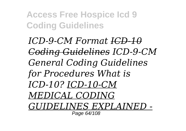*ICD-9-CM Format ICD-10 Coding Guidelines ICD-9-CM General Coding Guidelines for Procedures What is ICD-10? ICD-10-CM MEDICAL CODING GUIDELINES EXPLAINED -* Page 64/108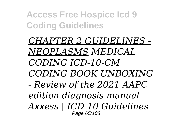*CHAPTER 2 GUIDELINES - NEOPLASMS MEDICAL CODING ICD-10-CM CODING BOOK UNBOXING - Review of the 2021 AAPC edition diagnosis manual Axxess | ICD-10 Guidelines* Page 65/108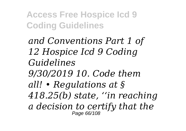*and Conventions Part 1 of 12 Hospice Icd 9 Coding Guidelines 9/30/2019 10. Code them all! • Regulations at § 418.25(b) state, ''in reaching a decision to certify that the* Page 66/108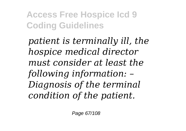*patient is terminally ill, the hospice medical director must consider at least the following information: – Diagnosis of the terminal condition of the patient.*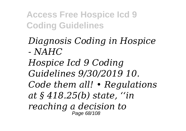### *Diagnosis Coding in Hospice - NAHC*

*Hospice Icd 9 Coding Guidelines 9/30/2019 10. Code them all! • Regulations at § 418.25(b) state, ''in reaching a decision to* Page 68/108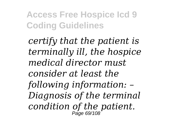*certify that the patient is terminally ill, the hospice medical director must consider at least the following information: – Diagnosis of the terminal condition of the patient.* Page 69/108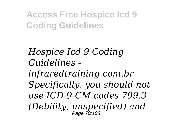*Hospice Icd 9 Coding Guidelines infraredtraining.com.br Specifically, you should not use ICD-9-CM codes 799.3 (Debility, unspecified) and* Page 70/108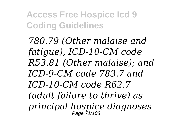*780.79 (Other malaise and fatigue), ICD-10-CM code R53.81 (Other malaise); and ICD-9-CM code 783.7 and ICD-10-CM code R62.7 (adult failure to thrive) as principal hospice diagnoses* Page 71/108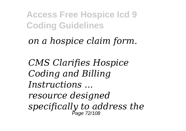*on a hospice claim form.*

*CMS Clarifies Hospice Coding and Billing Instructions ... resource designed specifically to address the* Page 72/108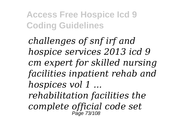*challenges of snf irf and hospice services 2013 icd 9 cm expert for skilled nursing facilities inpatient rehab and hospices vol 1 ... rehabilitation facilities the*

*complete official code set* Page 73/108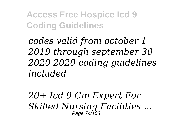*codes valid from october 1 2019 through september 30 2020 2020 coding guidelines included*

*20+ Icd 9 Cm Expert For Skilled Nursing Facilities ...* Page 74/108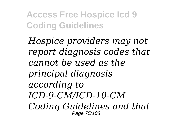*Hospice providers may not report diagnosis codes that cannot be used as the principal diagnosis according to ICD-9-CM/ICD-10-CM Coding Guidelines and that* Page 75/108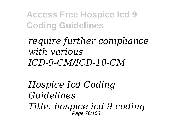*require further compliance with various ICD-9-CM/ICD-10-CM*

*Hospice Icd Coding Guidelines Title: hospice icd 9 coding* Page 76/108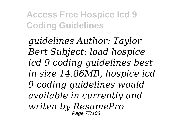*guidelines Author: Taylor Bert Subject: load hospice icd 9 coding guidelines best in size 14.86MB, hospice icd 9 coding guidelines would available in currently and writen by ResumePro* Page 77/108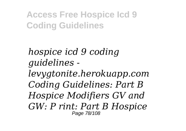*hospice icd 9 coding guidelines levygtonite.herokuapp.com Coding Guidelines: Part B Hospice Modifiers GV and GW: P rint: Part B Hospice* Page 78/108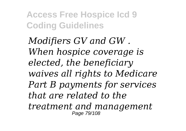*Modifiers GV and GW . When hospice coverage is elected, the beneficiary waives all rights to Medicare Part B payments for services that are related to the treatment and management* Page 79/108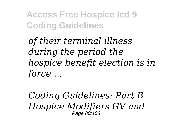*of their terminal illness during the period the hospice benefit election is in force ...*

*Coding Guidelines: Part B Hospice Modifiers GV and* Page 80/108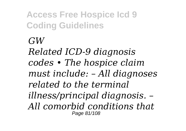**Access Free Hospice Icd 9 Coding Guidelines** *GW Related ICD-9 diagnosis codes • The hospice claim must include: – All diagnoses related to the terminal illness/principal diagnosis. – All comorbid conditions that* Page 81/108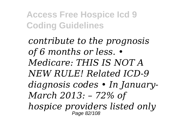*contribute to the prognosis of 6 months or less. • Medicare: THIS IS NOT A NEW RULE! Related ICD-9 diagnosis codes • In January-March 2013: – 72% of hospice providers listed only* Page 82/108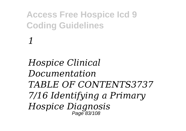*Hospice Clinical Documentation TABLE OF CONTENTS3737 7/16 Identifying a Primary Hospice Diagnosis* Page 83/108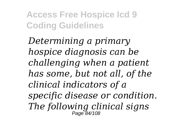*Determining a primary hospice diagnosis can be challenging when a patient has some, but not all, of the clinical indicators of a specific disease or condition. The following clinical signs* Page 84/108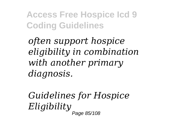*often support hospice eligibility in combination with another primary diagnosis.*

*Guidelines for Hospice Eligibility* Page 85/108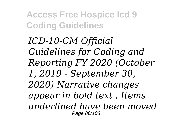*ICD-10-CM Official Guidelines for Coding and Reporting FY 2020 (October 1, 2019 - September 30, 2020) Narrative changes appear in bold text . Items underlined have been moved* Page 86/108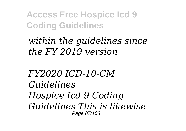## *within the guidelines since the FY 2019 version*

*FY2020 ICD-10-CM Guidelines Hospice Icd 9 Coding Guidelines This is likewise* Page 87/108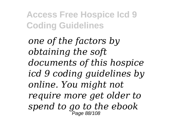*one of the factors by obtaining the soft documents of this hospice icd 9 coding guidelines by online. You might not require more get older to spend to go to the ebook* Page 88/108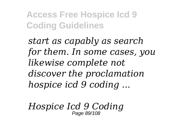*start as capably as search for them. In some cases, you likewise complete not discover the proclamation hospice icd 9 coding ...*

*Hospice Icd 9 Coding* Page 89/108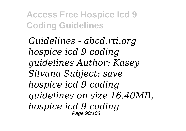*Guidelines - abcd.rti.org hospice icd 9 coding guidelines Author: Kasey Silvana Subject: save hospice icd 9 coding guidelines on size 16.40MB, hospice icd 9 coding* Page 90/108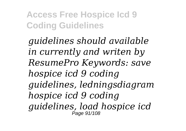*guidelines should available in currently and writen by ResumePro Keywords: save hospice icd 9 coding guidelines, ledningsdiagram hospice icd 9 coding guidelines, load hospice icd* Page 91/108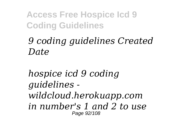## *9 coding guidelines Created Date*

*hospice icd 9 coding guidelines wildcloud.herokuapp.com in number's 1 and 2 to use* Page 92/108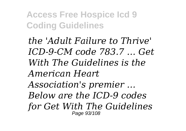*the 'Adult Failure to Thrive' ICD-9-CM code 783.7 … Get With The Guidelines is the American Heart Association's premier … Below are the ICD-9 codes for Get With The Guidelines* Page 93/108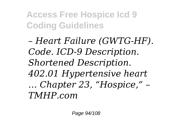*– Heart Failure (GWTG-HF). Code. ICD-9 Description. Shortened Description. 402.01 Hypertensive heart … Chapter 23, "Hospice," – TMHP.com*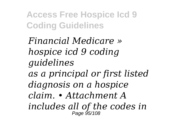*Financial Medicare » hospice icd 9 coding guidelines as a principal or first listed diagnosis on a hospice claim. • Attachment A includes all of the codes in* Page 95/108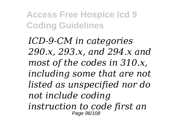*ICD-9-CM in categories 290.x, 293.x, and 294.x and most of the codes in 310.x, including some that are not listed as unspecified nor do not include coding instruction to code first an* Page 96/108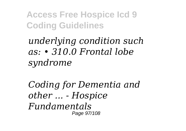*underlying condition such as: • 310.0 Frontal lobe syndrome*

*Coding for Dementia and other ... - Hospice Fundamentals* Page 97/108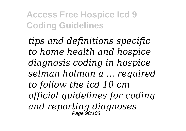*tips and definitions specific to home health and hospice diagnosis coding in hospice selman holman a ... required to follow the icd 10 cm official guidelines for coding and reporting diagnoses* Page 98/108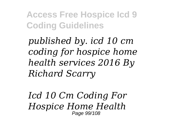*published by. icd 10 cm coding for hospice home health services 2016 By Richard Scarry*

*Icd 10 Cm Coding For Hospice Home Health* Page 99/108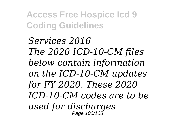*Services 2016 The 2020 ICD-10-CM files below contain information on the ICD-10-CM updates for FY 2020. These 2020 ICD-10-CM codes are to be used for discharges* Page 100/108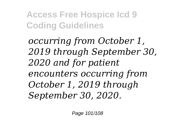*occurring from October 1, 2019 through September 30, 2020 and for patient encounters occurring from October 1, 2019 through September 30, 2020.*

Page 101/108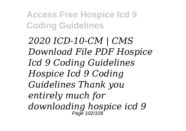*2020 ICD-10-CM | CMS Download File PDF Hospice Icd 9 Coding Guidelines Hospice Icd 9 Coding Guidelines Thank you entirely much for downloading hospice icd 9* Page 102/108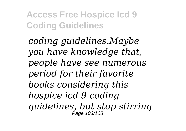*coding guidelines.Maybe you have knowledge that, people have see numerous period for their favorite books considering this hospice icd 9 coding guidelines, but stop stirring* Page 103/108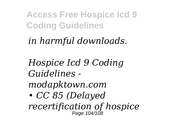## *in harmful downloads.*

*Hospice Icd 9 Coding Guidelines modapktown.com • CC 85 (Delayed recertification of hospice* Page 104/108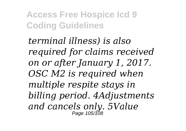*terminal illness) is also required for claims received on or after January 1, 2017. OSC M2 is required when multiple respite stays in billing period. 4Adjustments and cancels only. 5Value* Page 105/108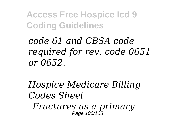*code 61 and CBSA code required for rev. code 0651 or 0652.*

*Hospice Medicare Billing Codes Sheet –Fractures as a primary*

Page 106/108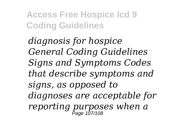*diagnosis for hospice General Coding Guidelines Signs and Symptoms Codes that describe symptoms and signs, as opposed to diagnoses are acceptable for reporting purposes when a* Page 107/108